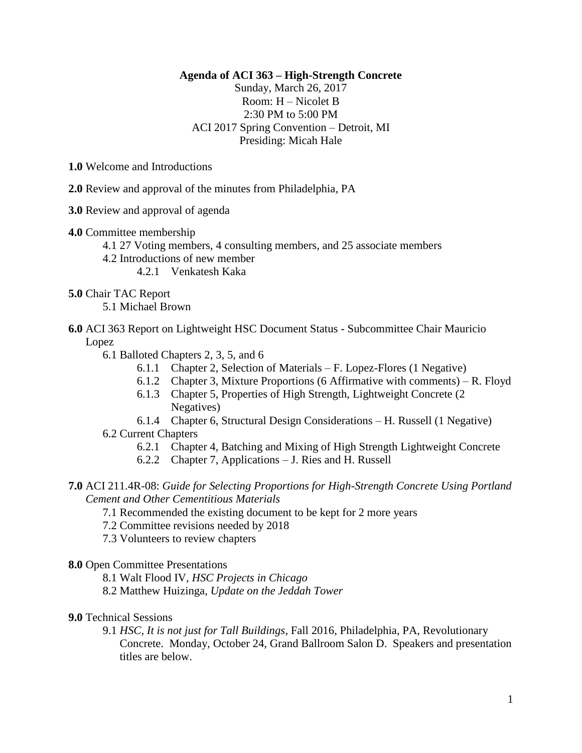## **Agenda of ACI 363 – High-Strength Concrete**

Sunday, March 26, 2017 Room: H – Nicolet B 2:30 PM to 5:00 PM ACI 2017 Spring Convention – Detroit, MI Presiding: Micah Hale

**1.0** Welcome and Introductions

- **2.0** Review and approval of the minutes from Philadelphia, PA
- **3.0** Review and approval of agenda
- **4.0** Committee membership
	- 4.1 27 Voting members, 4 consulting members, and 25 associate members
	- 4.2 Introductions of new member

4.2.1 Venkatesh Kaka

- 
- **5.0** Chair TAC Report

5.1 Michael Brown

- **6.0** ACI 363 Report on Lightweight HSC Document Status Subcommittee Chair Mauricio Lopez
	- 6.1 Balloted Chapters 2, 3, 5, and 6
		- 6.1.1 Chapter 2, Selection of Materials F. Lopez-Flores (1 Negative)
		- 6.1.2 Chapter 3, Mixture Proportions (6 Affirmative with comments) R. Floyd
		- 6.1.3 Chapter 5, Properties of High Strength, Lightweight Concrete (2 Negatives)
	- 6.1.4 Chapter 6, Structural Design Considerations H. Russell (1 Negative) 6.2 Current Chapters
		- 6.2.1 Chapter 4, Batching and Mixing of High Strength Lightweight Concrete
		- 6.2.2 Chapter 7, Applications J. Ries and H. Russell
- **7.0** ACI 211.4R-08: *Guide for Selecting Proportions for High-Strength Concrete Using Portland Cement and Other Cementitious Materials*
	- 7.1 Recommended the existing document to be kept for 2 more years
	- 7.2 Committee revisions needed by 2018
	- 7.3 Volunteers to review chapters
- **8.0** Open Committee Presentations
	- 8.1 Walt Flood IV, *HSC Projects in Chicago*
	- 8.2 Matthew Huizinga*, Update on the Jeddah Tower*

## **9.0** Technical Sessions

9.1 *HSC, It is not just for Tall Buildings*, Fall 2016, Philadelphia, PA, Revolutionary Concrete. Monday, October 24, Grand Ballroom Salon D. Speakers and presentation titles are below.